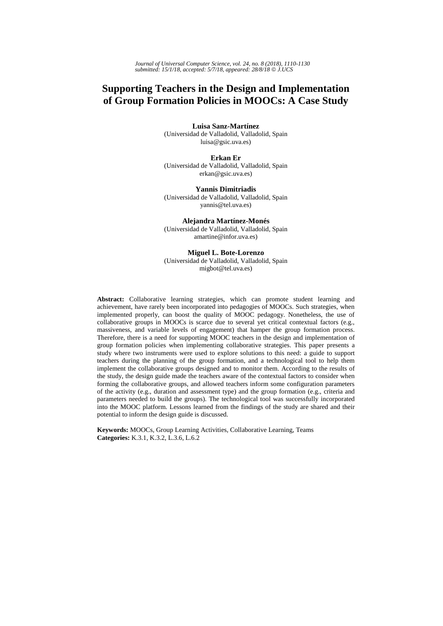# **Supporting Teachers in the Design and Implementation of Group Formation Policies in MOOCs: A Case Study**

**Luisa Sanz-Martínez** (Universidad de Valladolid, Valladolid, Spain luisa@gsic.uva.es)

**Erkan Er** (Universidad de Valladolid, Valladolid, Spain erkan@gsic.uva.es)

**Yannis Dimitriadis** (Universidad de Valladolid, Valladolid, Spain yannis@tel.uva.es)

**Alejandra Martínez-Monés** (Universidad de Valladolid, Valladolid, Spain amartine@infor.uva.es)

**Miguel L. Bote-Lorenzo** (Universidad de Valladolid, Valladolid, Spain migbot@tel.uva.es)

**Abstract:** Collaborative learning strategies, which can promote student learning and achievement, have rarely been incorporated into pedagogies of MOOCs. Such strategies, when implemented properly, can boost the quality of MOOC pedagogy. Nonetheless, the use of collaborative groups in MOOCs is scarce due to several yet critical contextual factors (e.g., massiveness, and variable levels of engagement) that hamper the group formation process. Therefore, there is a need for supporting MOOC teachers in the design and implementation of group formation policies when implementing collaborative strategies. This paper presents a study where two instruments were used to explore solutions to this need: a guide to support teachers during the planning of the group formation, and a technological tool to help them implement the collaborative groups designed and to monitor them. According to the results of the study, the design guide made the teachers aware of the contextual factors to consider when forming the collaborative groups, and allowed teachers inform some configuration parameters of the activity (e.g., duration and assessment type) and the group formation (e.g., criteria and parameters needed to build the groups). The technological tool was successfully incorporated into the MOOC platform. Lessons learned from the findings of the study are shared and their potential to inform the design guide is discussed.

**Keywords:** MOOCs, Group Learning Activities, Collaborative Learning, Teams **Categories:** K.3.1, K.3.2, L.3.6, L.6.2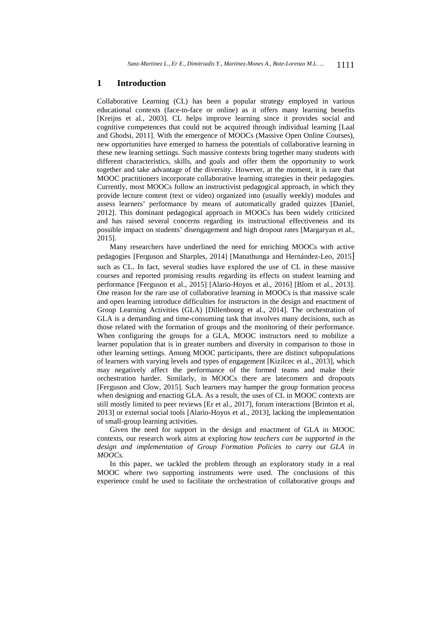### **1 Introduction**

Collaborative Learning (CL) has been a popular strategy employed in various educational contexts (face-to-face or online) as it offers many learning benefits [Kreijns et al., 2003]. CL helps improve learning since it provides social and cognitive competences that could not be acquired through individual learning [Laal and Ghodsi, 2011]. With the emergence of MOOCs (Massive Open Online Courses), new opportunities have emerged to harness the potentials of collaborative learning in these new learning settings. Such massive contexts bring together many students with different characteristics, skills, and goals and offer them the opportunity to work together and take advantage of the diversity. However, at the moment, it is rare that MOOC practitioners incorporate collaborative learning strategies in their pedagogies. Currently, most MOOCs follow an instructivist pedagogical approach, in which they provide lecture content (text or video) organized into (usually weekly) modules and assess learners' performance by means of automatically graded quizzes [Daniel, 2012]. This dominant pedagogical approach in MOOCs has been widely criticized and has raised several concerns regarding its instructional effectiveness and its possible impact on students' disengagement and high dropout rates [Margaryan et al., 2015].

Many researchers have underlined the need for enriching MOOCs with active pedagogies [Ferguson and Sharples, 2014] [Manathunga and Hernández-Leo, 2015] such as CL. In fact, several studies have explored the use of CL in these massive courses and reported promising results regarding its effects on student learning and performance [Ferguson et al., 2015] [Alario-Hoyos et al., 2016] [Blom et al., 2013]. One reason for the rare use of collaborative learning in MOOCs is that massive scale and open learning introduce difficulties for instructors in the design and enactment of Group Learning Activities (GLA) [Dillenbourg et al., 2014]. The orchestration of GLA is a demanding and time-consuming task that involves many decisions, such as those related with the formation of groups and the monitoring of their performance. When configuring the groups for a GLA, MOOC instructors need to mobilize a learner population that is in greater numbers and diversity in comparison to those in other learning settings. Among MOOC participants, there are distinct subpopulations of learners with varying levels and types of engagement [Kizilcec et al., 2013], which may negatively affect the performance of the formed teams and make their orchestration harder. Similarly, in MOOCs there are latecomers and dropouts [Ferguson and Clow, 2015]. Such learners may hamper the group formation process when designing and enacting GLA. As a result, the uses of CL in MOOC contexts are still mostly limited to peer reviews [Er et al., 2017], forum interactions [Brinton et al, 2013] or external social tools [Alario-Hoyos et al., 2013], lacking the implementation of small-group learning activities.

Given the need for support in the design and enactment of GLA in MOOC contexts, our research work aims at exploring *how teachers can be supported in the design and implementation of Group Formation Policies to carry out GLA in MOOCs*.

In this paper, we tackled the problem through an exploratory study in a real MOOC where two supporting instruments were used. The conclusions of this experience could be used to facilitate the orchestration of collaborative groups and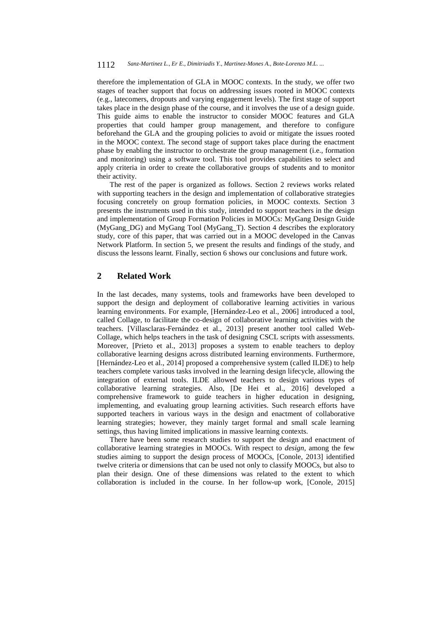therefore the implementation of GLA in MOOC contexts. In the study, we offer two stages of teacher support that focus on addressing issues rooted in MOOC contexts (e.g., latecomers, dropouts and varying engagement levels). The first stage of support takes place in the design phase of the course, and it involves the use of a design guide. This guide aims to enable the instructor to consider MOOC features and GLA properties that could hamper group management, and therefore to configure beforehand the GLA and the grouping policies to avoid or mitigate the issues rooted in the MOOC context. The second stage of support takes place during the enactment phase by enabling the instructor to orchestrate the group management (i.e., formation and monitoring) using a software tool. This tool provides capabilities to select and apply criteria in order to create the collaborative groups of students and to monitor their activity.

The rest of the paper is organized as follows. Section 2 reviews works related with supporting teachers in the design and implementation of collaborative strategies focusing concretely on group formation policies, in MOOC contexts. Section 3 presents the instruments used in this study, intended to support teachers in the design and implementation of Group Formation Policies in MOOCs: MyGang Design Guide (MyGang\_DG) and MyGang Tool (MyGang\_T). Section 4 describes the exploratory study, core of this paper, that was carried out in a MOOC developed in the Canvas Network Platform. In section 5, we present the results and findings of the study, and discuss the lessons learnt. Finally, section 6 shows our conclusions and future work.

### **2 Related Work**

In the last decades, many systems, tools and frameworks have been developed to support the design and deployment of collaborative learning activities in various learning environments. For example, [Hernández-Leo et al., 2006] introduced a tool, called Collage, to facilitate the co-design of collaborative learning activities with the teachers. [Villasclaras-Fernández et al., 2013] present another tool called Web-Collage, which helps teachers in the task of designing CSCL scripts with assessments. Moreover, [Prieto et al., 2013] proposes a system to enable teachers to deploy collaborative learning designs across distributed learning environments. Furthermore, [Hernández-Leo et al., 2014] proposed a comprehensive system (called ILDE) to help teachers complete various tasks involved in the learning design lifecycle, allowing the integration of external tools. ILDE allowed teachers to design various types of collaborative learning strategies. Also, [De Hei et al., 2016] developed a comprehensive framework to guide teachers in higher education in designing, implementing, and evaluating group learning activities. Such research efforts have supported teachers in various ways in the design and enactment of collaborative learning strategies; however, they mainly target formal and small scale learning settings, thus having limited implications in massive learning contexts.

There have been some research studies to support the design and enactment of collaborative learning strategies in MOOCs. With respect to *design*, among the few studies aiming to support the design process of MOOCs, [Conole, 2013] identified twelve criteria or dimensions that can be used not only to classify MOOCs, but also to plan their design. One of these dimensions was related to the extent to which collaboration is included in the course. In her follow-up work, [Conole, 2015]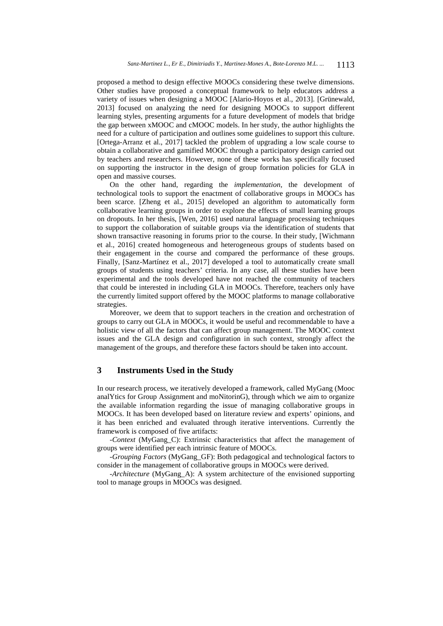proposed a method to design effective MOOCs considering these twelve dimensions. Other studies have proposed a conceptual framework to help educators address a variety of issues when designing a MOOC [Alario-Hoyos et al., 2013]. [Grünewald, 2013] focused on analyzing the need for designing MOOCs to support different learning styles, presenting arguments for a future development of models that bridge the gap between xMOOC and cMOOC models. In her study, the author highlights the need for a culture of participation and outlines some guidelines to support this culture. [Ortega-Arranz et al., 2017] tackled the problem of upgrading a low scale course to obtain a collaborative and gamified MOOC through a participatory design carried out by teachers and researchers. However, none of these works has specifically focused on supporting the instructor in the design of group formation policies for GLA in open and massive courses.

On the other hand, regarding the *implementation*, the development of technological tools to support the enactment of collaborative groups in MOOCs has been scarce. [Zheng et al., 2015] developed an algorithm to automatically form collaborative learning groups in order to explore the effects of small learning groups on dropouts. In her thesis, [Wen, 2016] used natural language processing techniques to support the collaboration of suitable groups via the identification of students that shown transactive reasoning in forums prior to the course. In their study, [Wichmann et al., 2016] created homogeneous and heterogeneous groups of students based on their engagement in the course and compared the performance of these groups. Finally, [Sanz-Martínez et al., 2017] developed a tool to automatically create small groups of students using teachers' criteria. In any case, all these studies have been experimental and the tools developed have not reached the community of teachers that could be interested in including GLA in MOOCs. Therefore, teachers only have the currently limited support offered by the MOOC platforms to manage collaborative strategies.

Moreover, we deem that to support teachers in the creation and orchestration of groups to carry out GLA in MOOCs, it would be useful and recommendable to have a holistic view of all the factors that can affect group management. The MOOC context issues and the GLA design and configuration in such context, strongly affect the management of the groups, and therefore these factors should be taken into account.

# **3 Instruments Used in the Study**

In our research process, we iteratively developed a framework, called MyGang (Mooc analYtics for Group Assignment and moNitorinG), through which we aim to organize the available information regarding the issue of managing collaborative groups in MOOCs. It has been developed based on literature review and experts' opinions, and it has been enriched and evaluated through iterative interventions. Currently the framework is composed of five artifacts:

*-Context* (MyGang\_C): Extrinsic characteristics that affect the management of groups were identified per each intrinsic feature of MOOCs.

*-Grouping Factors* (MyGang\_GF): Both pedagogical and technological factors to consider in the management of collaborative groups in MOOCs were derived.

*-Architecture* (MyGang\_A): A system architecture of the envisioned supporting tool to manage groups in MOOCs was designed.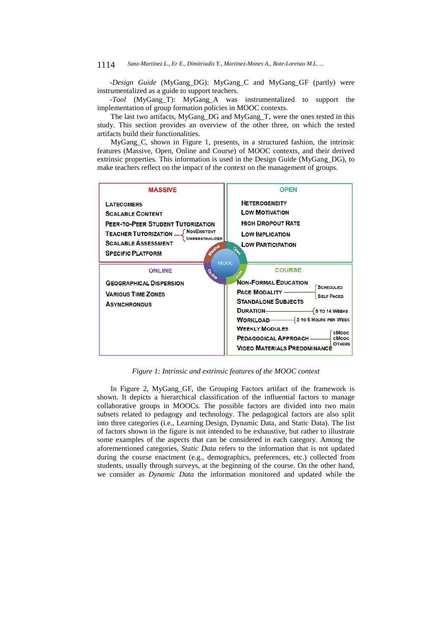*-Design Guide* (MyGang\_DG): MyGang\_C and MyGang\_GF (partly) were instrumentalized as a guide to support teachers.

*-Tool* (MyGang\_T): MyGang\_A was instrumentalized to support the implementation of group formation policies in MOOC contexts.

The last two artifacts, MyGang\_DG and MyGang\_T, were the ones tested in this study. This section provides an overview of the other three, on which the tested artifacts build their functionalities.

MyGang\_C, shown in Figure 1, presents, in a structured fashion, the intrinsic features (Massive, Open, Online and Course) of MOOC contexts, and their derived extrinsic properties. This information is used in the Design Guide (MyGang\_DG), to make teachers reflect on the impact of the context on the management of groups.



*Figure 1: Intrinsic and extrinsic features of the MOOC context*

In Figure 2, MyGang\_GF, the Grouping Factors artifact of the framework is shown. It depicts a hierarchical classification of the influential factors to manage collaborative groups in MOOCs. The possible factors are divided into two main subsets related to pedagogy and technology. The pedagogical factors are also split into three categories (i.e., Learning Design, Dynamic Data, and Static Data). The list of factors shown in the figure is not intended to be exhaustive, but rather to illustrate some examples of the aspects that can be considered in each category. Among the aforementioned categories, *Static Data* refers to the information that is not updated during the course enactment (e.g., demographics, preferences, etc.) collected from students, usually through surveys, at the beginning of the course. On the other hand, we consider as *Dynamic Data* the information monitored and updated while the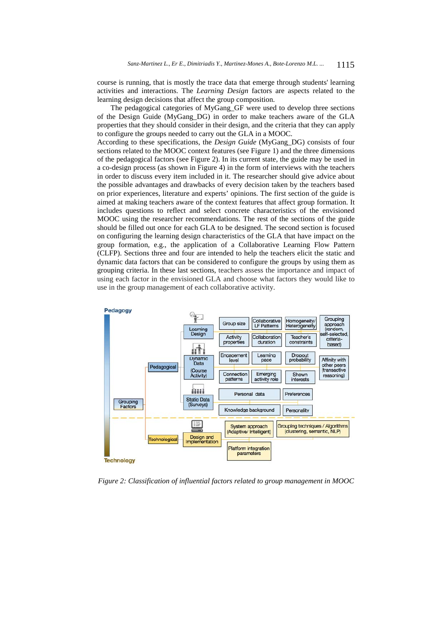course is running, that is mostly the trace data that emerge through students' learning activities and interactions. The *Learning Design* factors are aspects related to the learning design decisions that affect the group composition.

The pedagogical categories of MyGang\_GF were used to develop three sections of the Design Guide (MyGang\_DG) in order to make teachers aware of the GLA properties that they should consider in their design, and the criteria that they can apply to configure the groups needed to carry out the GLA in a MOOC.

According to these specifications, the *Design Guide* (MyGang\_DG) consists of four sections related to the MOOC context features (see Figure 1) and the three dimensions of the pedagogical factors (see Figure 2). In its current state, the guide may be used in a co-design process (as shown in Figure 4) in the form of interviews with the teachers in order to discuss every item included in it. The researcher should give advice about the possible advantages and drawbacks of every decision taken by the teachers based on prior experiences, literature and experts' opinions. The first section of the guide is aimed at making teachers aware of the context features that affect group formation. It includes questions to reflect and select concrete characteristics of the envisioned MOOC using the researcher recommendations. The rest of the sections of the guide should be filled out once for each GLA to be designed. The second section is focused on configuring the learning design characteristics of the GLA that have impact on the group formation, e.g., the application of a Collaborative Learning Flow Pattern (CLFP). Sections three and four are intended to help the teachers elicit the static and dynamic data factors that can be considered to configure the groups by using them as grouping criteria. In these last sections, teachers assess the importance and impact of using each factor in the envisioned GLA and choose what factors they would like to use in the group management of each collaborative activity.



*Figure 2: Classification of influential factors related to group management in MOOC*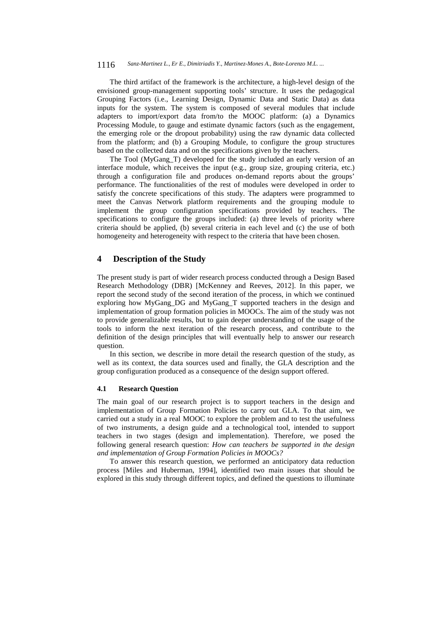The third artifact of the framework is the architecture, a high-level design of the envisioned group-management supporting tools' structure. It uses the pedagogical Grouping Factors (i.e., Learning Design, Dynamic Data and Static Data) as data inputs for the system. The system is composed of several modules that include adapters to import/export data from/to the MOOC platform: (a) a Dynamics Processing Module, to gauge and estimate dynamic factors (such as the engagement, the emerging role or the dropout probability) using the raw dynamic data collected from the platform; and (b) a Grouping Module, to configure the group structures based on the collected data and on the specifications given by the teachers.

The Tool (MyGang T) developed for the study included an early version of an interface module, which receives the input (e.g., group size, grouping criteria, etc.) through a configuration file and produces on-demand reports about the groups' performance. The functionalities of the rest of modules were developed in order to satisfy the concrete specifications of this study. The adapters were programmed to meet the Canvas Network platform requirements and the grouping module to implement the group configuration specifications provided by teachers. The specifications to configure the groups included: (a) three levels of priority where criteria should be applied, (b) several criteria in each level and (c) the use of both homogeneity and heterogeneity with respect to the criteria that have been chosen.

### **4 Description of the Study**

The present study is part of wider research process conducted through a Design Based Research Methodology (DBR) [McKenney and Reeves, 2012]. In this paper, we report the second study of the second iteration of the process, in which we continued exploring how MyGang\_DG and MyGang\_T supported teachers in the design and implementation of group formation policies in MOOCs. The aim of the study was not to provide generalizable results, but to gain deeper understanding of the usage of the tools to inform the next iteration of the research process, and contribute to the definition of the design principles that will eventually help to answer our research question.

In this section, we describe in more detail the research question of the study, as well as its context, the data sources used and finally, the GLA description and the group configuration produced as a consequence of the design support offered.

#### **4.1 Research Question**

The main goal of our research project is to support teachers in the design and implementation of Group Formation Policies to carry out GLA. To that aim, we carried out a study in a real MOOC to explore the problem and to test the usefulness of two instruments, a design guide and a technological tool, intended to support teachers in two stages (design and implementation). Therefore, we posed the following general research question: *How can teachers be supported in the design and implementation of Group Formation Policies in MOOCs?*

To answer this research question, we performed an anticipatory data reduction process [Miles and Huberman, 1994], identified two main issues that should be explored in this study through different topics, and defined the questions to illuminate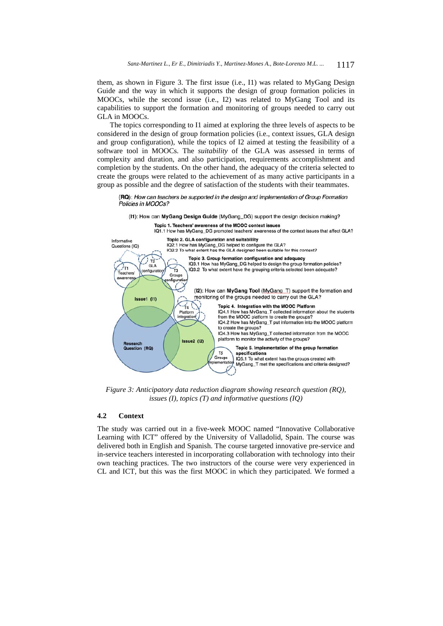them, as shown in Figure 3. The first issue (i.e., I1) was related to MyGang Design Guide and the way in which it supports the design of group formation policies in MOOCs, while the second issue (i.e., I2) was related to MyGang Tool and its capabilities to support the formation and monitoring of groups needed to carry out GLA in MOOCs.

The topics corresponding to I1 aimed at exploring the three levels of aspects to be considered in the design of group formation policies (i.e., context issues, GLA design and group configuration), while the topics of I2 aimed at testing the feasibility of a software tool in MOOCs. The *suitability* of the GLA was assessed in terms of complexity and duration, and also participation, requirements accomplishment and completion by the students. On the other hand, the adequacy of the criteria selected to create the groups were related to the achievement of as many active participants in a group as possible and the degree of satisfaction of the students with their teammates.

(RQ): How can teachers be supported in the design and implementation of Group Formation Policies in MOOCs?

(I1): How can MyGang Design Guide (MyGang\_DG) support the design decision making?



*Figure 3: Anticipatory data reduction diagram showing research question (RQ), issues (I), topics (T) and informative questions (IQ)*

#### **4.2 Context**

The study was carried out in a five-week MOOC named "Innovative Collaborative Learning with ICT" offered by the University of Valladolid, Spain. The course was delivered both in English and Spanish. The course targeted innovative pre-service and in-service teachers interested in incorporating collaboration with technology into their own teaching practices. The two instructors of the course were very experienced in CL and ICT, but this was the first MOOC in which they participated. We formed a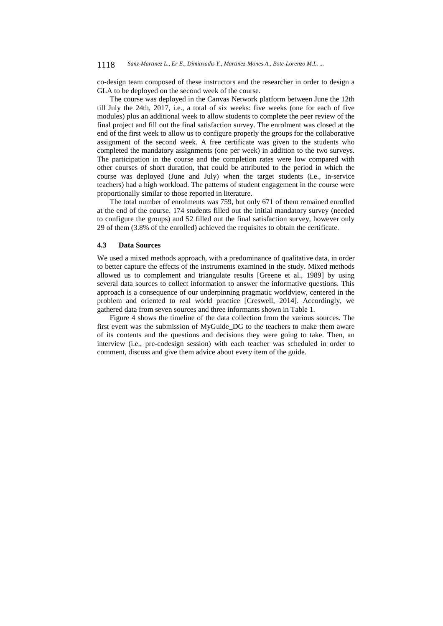co-design team composed of these instructors and the researcher in order to design a GLA to be deployed on the second week of the course.

The course was deployed in the Canvas Network platform between June the 12th till July the 24th, 2017, i.e., a total of six weeks: five weeks (one for each of five modules) plus an additional week to allow students to complete the peer review of the final project and fill out the final satisfaction survey. The enrolment was closed at the end of the first week to allow us to configure properly the groups for the collaborative assignment of the second week. A free certificate was given to the students who completed the mandatory assignments (one per week) in addition to the two surveys. The participation in the course and the completion rates were low compared with other courses of short duration, that could be attributed to the period in which the course was deployed (June and July) when the target students (i.e., in-service teachers) had a high workload. The patterns of student engagement in the course were proportionally similar to those reported in literature.

The total number of enrolments was 759, but only 671 of them remained enrolled at the end of the course. 174 students filled out the initial mandatory survey (needed to configure the groups) and 52 filled out the final satisfaction survey, however only 29 of them (3.8% of the enrolled) achieved the requisites to obtain the certificate.

#### **4.3 Data Sources**

We used a mixed methods approach, with a predominance of qualitative data, in order to better capture the effects of the instruments examined in the study. Mixed methods allowed us to complement and triangulate results [Greene et al., 1989] by using several data sources to collect information to answer the informative questions. This approach is a consequence of our underpinning pragmatic worldview, centered in the problem and oriented to real world practice [Creswell, 2014]. Accordingly, we gathered data from seven sources and three informants shown in Table 1.

Figure 4 shows the timeline of the data collection from the various sources. The first event was the submission of MyGuide\_DG to the teachers to make them aware of its contents and the questions and decisions they were going to take. Then, an interview (i.e., pre-codesign session) with each teacher was scheduled in order to comment, discuss and give them advice about every item of the guide.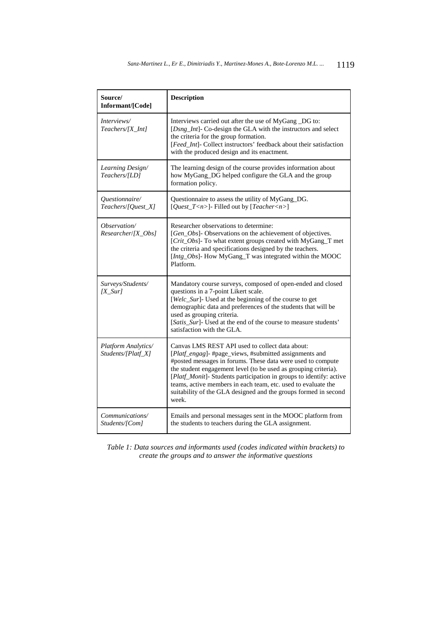| Source/<br>Informant/[Code]               | <b>Description</b>                                                                                                                                                                                                                                                                                                                                                                                                                                            |
|-------------------------------------------|---------------------------------------------------------------------------------------------------------------------------------------------------------------------------------------------------------------------------------------------------------------------------------------------------------------------------------------------------------------------------------------------------------------------------------------------------------------|
| Interviews/<br>$Teaches/[X_Int]$          | Interviews carried out after the use of MyGang _DG to:<br>[Dsng_Int]- Co-design the GLA with the instructors and select<br>the criteria for the group formation.<br>[Feed_Int]- Collect instructors' feedback about their satisfaction<br>with the produced design and its enactment.                                                                                                                                                                         |
| Learning Design/<br>Teachers/[LD]         | The learning design of the course provides information about<br>how MyGang_DG helped configure the GLA and the group<br>formation policy.                                                                                                                                                                                                                                                                                                                     |
| Questionnaire/<br>Teachers/[Quest_X]      | Questionnaire to assess the utility of MyGang_DG.<br>[ $Quest_T < n>$ ]- Filled out by [Teacher $< n>$ ]                                                                                                                                                                                                                                                                                                                                                      |
| Observation/<br>Researcher/[X Obs]        | Researcher observations to determine:<br>[Gen_Obs]- Observations on the achievement of objectives.<br>[Crit_Obs]- To what extent groups created with MyGang_T met<br>the criteria and specifications designed by the teachers.<br>[Intg_Obs]- How MyGang_T was integrated within the MOOC<br>Platform.                                                                                                                                                        |
| Surveys/Students/<br>$[X_Sur]$            | Mandatory course surveys, composed of open-ended and closed<br>questions in a 7-point Likert scale.<br>[Welc_Sur]- Used at the beginning of the course to get<br>demographic data and preferences of the students that will be<br>used as grouping criteria.<br>[Satis_Sur]- Used at the end of the course to measure students'<br>satisfaction with the GLA.                                                                                                 |
| Platform Analytics/<br>Students/[Platf_X] | Canvas LMS REST API used to collect data about:<br>[Platf_engag]-#page_views,#submitted assignments and<br>#posted messages in forums. These data were used to compute<br>the student engagement level (to be used as grouping criteria).<br>[Platf_Monit]- Students participation in groups to identify: active<br>teams, active members in each team, etc. used to evaluate the<br>suitability of the GLA designed and the groups formed in second<br>week. |
| <i>Communications</i> /<br>Students/[Com] | Emails and personal messages sent in the MOOC platform from<br>the students to teachers during the GLA assignment.                                                                                                                                                                                                                                                                                                                                            |

*Table 1: Data sources and informants used (codes indicated within brackets) to create the groups and to answer the informative questions*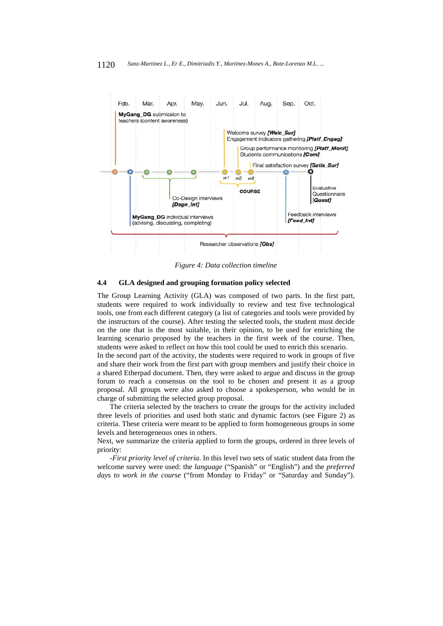

*Figure 4: Data collection timeline* 

#### **4.4 GLA designed and grouping formation policy selected**

The Group Learning Activity (GLA) was composed of two parts. In the first part, students were required to work individually to review and test five technological tools, one from each different category (a list of categories and tools were provided by the instructors of the course). After testing the selected tools, the student must decide on the one that is the most suitable, in their opinion, to be used for enriching the learning scenario proposed by the teachers in the first week of the course. Then, students were asked to reflect on how this tool could be used to enrich this scenario.

In the second part of the activity, the students were required to work in groups of five and share their work from the first part with group members and justify their choice in a shared Etherpad document. Then, they were asked to argue and discuss in the group forum to reach a consensus on the tool to be chosen and present it as a group proposal. All groups were also asked to choose a spokesperson, who would be in charge of submitting the selected group proposal.

The criteria selected by the teachers to create the groups for the activity included three levels of priorities and used both static and dynamic factors (see Figure 2) as criteria. These criteria were meant to be applied to form homogeneous groups in some levels and heterogeneous ones in others.

Next, we summarize the criteria applied to form the groups, ordered in three levels of priority:

*-First priority level of criteria*. In this level two sets of static student data from the welcome survey were used: the *language* ("Spanish" or "English") and the *preferred days to work in the course* ("from Monday to Friday" or "Saturday and Sunday").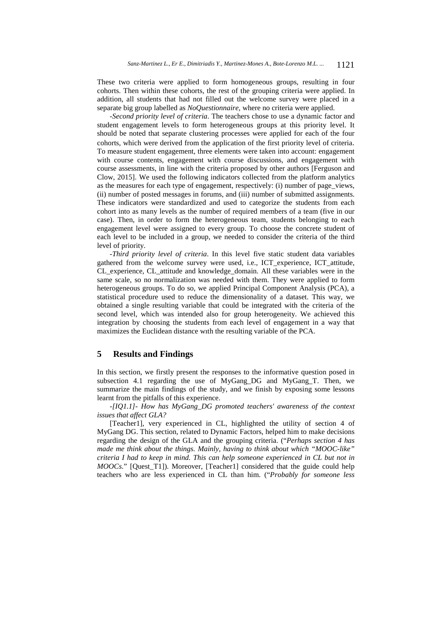These two criteria were applied to form homogeneous groups, resulting in four cohorts. Then within these cohorts, the rest of the grouping criteria were applied. In addition, all students that had not filled out the welcome survey were placed in a separate big group labelled as *NoQuestionnaire,* where no criteria were applied.

*-Second priority level of criteria*. The teachers chose to use a dynamic factor and student engagement levels to form heterogeneous groups at this priority level. It should be noted that separate clustering processes were applied for each of the four cohorts, which were derived from the application of the first priority level of criteria. To measure student engagement, three elements were taken into account: engagement with course contents, engagement with course discussions, and engagement with course assessments, in line with the criteria proposed by other authors [Ferguson and Clow, 2015]. We used the following indicators collected from the platform analytics as the measures for each type of engagement, respectively: (i) number of page\_views, (ii) number of posted messages in forums, and (iii) number of submitted assignments. These indicators were standardized and used to categorize the students from each cohort into as many levels as the number of required members of a team (five in our case). Then, in order to form the heterogeneous team, students belonging to each engagement level were assigned to every group. To choose the concrete student of each level to be included in a group, we needed to consider the criteria of the third level of priority.

*-Third priority level of criteria*. In this level five static student data variables gathered from the welcome survey were used, i.e., ICT\_experience, ICT\_attitude, CL\_experience, CL\_attitude and knowledge\_domain. All these variables were in the same scale, so no normalization was needed with them. They were applied to form heterogeneous groups. To do so, we applied Principal Component Analysis (PCA), a statistical procedure used to reduce the dimensionality of a dataset. This way, we obtained a single resulting variable that could be integrated with the criteria of the second level, which was intended also for group heterogeneity. We achieved this integration by choosing the students from each level of engagement in a way that maximizes the Euclidean distance wıth the resulting variable of the PCA.

## **5 Results and Findings**

In this section, we firstly present the responses to the informative question posed in subsection 4.1 regarding the use of MyGang DG and MyGang T. Then, we summarize the main findings of the study, and we finish by exposing some lessons learnt from the pitfalls of this experience.

*-[IQ1.1]- How has MyGang\_DG promoted teachers' awareness of the context issues that affect GLA?*

[Teacher1], very experienced in CL, highlighted the utility of section 4 of MyGang DG. This section, related to Dynamic Factors, helped him to make decisions regarding the design of the GLA and the grouping criteria. ("*Perhaps section 4 has made me think about the things. Mainly, having to think about which "MOOC-like" criteria I had to keep in mind. This can help someone experienced in CL but not in MOOCs.*" [Quest\_T1]). Moreover, [Teacher1] considered that the guide could help teachers who are less experienced in CL than him. ("*Probably for someone less*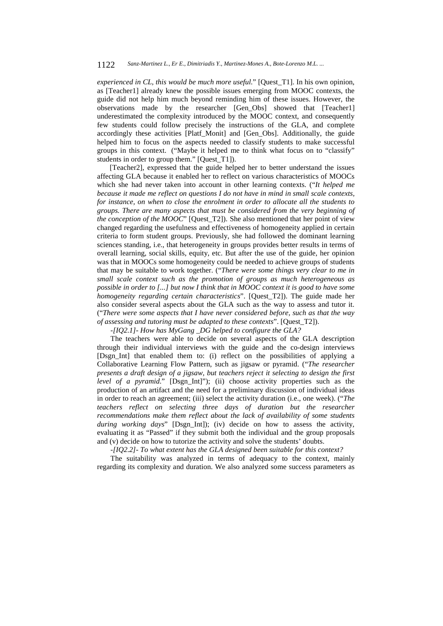*experienced in CL, this would be much more useful.*" [Quest\_T1]. In his own opinion, as [Teacher1] already knew the possible issues emerging from MOOC contexts, the guide did not help him much beyond reminding him of these issues. However, the observations made by the researcher [Gen\_Obs] showed that [Teacher1] underestimated the complexity introduced by the MOOC context, and consequently few students could follow precisely the instructions of the GLA, and complete accordingly these activities [Platf\_Monit] and [Gen\_Obs]. Additionally, the guide helped him to focus on the aspects needed to classify students to make successful groups in this context. ("Maybe it helped me to think what focus on to "classify" students in order to group them." [Quest\_T1]).

[Teacher2], expressed that the guide helped her to better understand the issues affecting GLA because it enabled her to reflect on various characteristics of MOOCs which she had never taken into account in other learning contexts. ("*It helped me because it made me reflect on questions I do not have in mind in small scale contexts, for instance, on when to close the enrolment in order to allocate all the students to groups. There are many aspects that must be considered from the very beginning of the conception of the MOOC*" [Quest T2]). She also mentioned that her point of view changed regarding the usefulness and effectiveness of homogeneity applied in certain criteria to form student groups. Previously, she had followed the dominant learning sciences standing, i.e., that heterogeneity in groups provides better results in terms of overall learning, social skills, equity, etc. But after the use of the guide, her opinion was that in MOOCs some homogeneity could be needed to achieve groups of students that may be suitable to work together. ("*There were some things very clear to me in small scale context such as the promotion of groups as much heterogeneous as possible in order to [...] but now I think that in MOOC context it is good to have some homogeneity regarding certain characteristics*". [Quest\_T2]). The guide made her also consider several aspects about the GLA such as the way to assess and tutor it. ("*There were some aspects that I have never considered before, such as that the way of assessing and tutoring must be adapted to these contexts*". [Quest\_T2]).

*-[IQ2.1]- How has MyGang \_DG helped to configure the GLA?*

The teachers were able to decide on several aspects of the GLA description through their individual interviews with the guide and the co-design interviews [Dsgn\_Int] that enabled them to: (i) reflect on the possibilities of applying a Collaborative Learning Flow Pattern, such as jigsaw or pyramid. ("*The researcher presents a draft design of a jigsaw, but teachers reject it selecting to design the first level of a pyramid.*" [Dsgn\_Int]"); (ii) choose activity properties such as the production of an artifact and the need for a preliminary discussion of individual ideas in order to reach an agreement; (iii) select the activity duration (i.e., one week). ("*The teachers reflect on selecting three days of duration but the researcher recommendations make them reflect about the lack of availability of some students during working days*" [Dsgn\_Int]); (iv) decide on how to assess the activity, evaluating it as "Passed" if they submit both the individual and the group proposals and (v) decide on how to tutorize the activity and solve the students' doubts.

*-[IQ2.2]- To what extent has the GLA designed been suitable for this context?*

The suitability was analyzed in terms of adequacy to the context, mainly regarding its complexity and duration. We also analyzed some success parameters as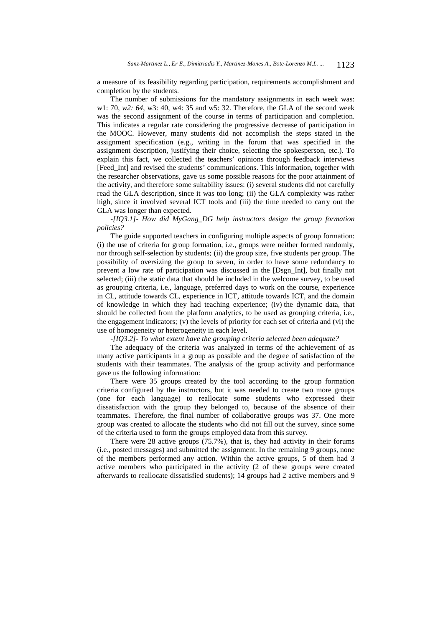a measure of its feasibility regarding participation, requirements accomplishment and completion by the students.

The number of submissions for the mandatory assignments in each week was: w1: 70, *w2: 64*, w3: 40, w4: 35 and w5: 32. Therefore, the GLA of the second week was the second assignment of the course in terms of participation and completion. This indicates a regular rate considering the progressive decrease of participation in the MOOC. However, many students did not accomplish the steps stated in the assignment specification (e.g., writing in the forum that was specified in the assignment description, justifying their choice, selecting the spokesperson, etc.). To explain this fact, we collected the teachers' opinions through feedback interviews [Feed Int] and revised the students' communications. This information, together with the researcher observations, gave us some possible reasons for the poor attainment of the activity, and therefore some suitability issues: (i) several students did not carefully read the GLA description, since it was too long; (ii) the GLA complexity was rather high, since it involved several ICT tools and (iii) the time needed to carry out the GLA was longer than expected.

*-[IQ3.1]- How did MyGang\_DG help instructors design the group formation policies?*

The guide supported teachers in configuring multiple aspects of group formation: (i) the use of criteria for group formation, i.e., groups were neither formed randomly, nor through self-selection by students; (ii) the group size, five students per group. The possibility of oversizing the group to seven, in order to have some redundancy to prevent a low rate of participation was discussed in the [Dsgn\_Int], but finally not selected; (iii) the static data that should be included in the welcome survey, to be used as grouping criteria, i.e., language, preferred days to work on the course, experience in CL, attitude towards CL, experience in ICT, attitude towards ICT, and the domain of knowledge in which they had teaching experience; (iv) the dynamic data, that should be collected from the platform analytics, to be used as grouping criteria, i.e., the engagement indicators;  $(v)$  the levels of priority for each set of criteria and  $(vi)$  the use of homogeneity or heterogeneity in each level.

*-[IQ3.2]- To what extent have the grouping criteria selected been adequate?*

The adequacy of the criteria was analyzed in terms of the achievement of as many active participants in a group as possible and the degree of satisfaction of the students with their teammates. The analysis of the group activity and performance gave us the following information:

There were 35 groups created by the tool according to the group formation criteria configured by the instructors, but it was needed to create two more groups (one for each language) to reallocate some students who expressed their dissatisfaction with the group they belonged to, because of the absence of their teammates. Therefore, the final number of collaborative groups was 37. One more group was created to allocate the students who did not fill out the survey, since some of the criteria used to form the groups employed data from this survey.

There were 28 active groups (75.7%), that is, they had activity in their forums (i.e., posted messages) and submitted the assignment. In the remaining 9 groups, none of the members performed any action. Within the active groups, 5 of them had 3 active members who participated in the activity (2 of these groups were created afterwards to reallocate dissatisfied students); 14 groups had 2 active members and 9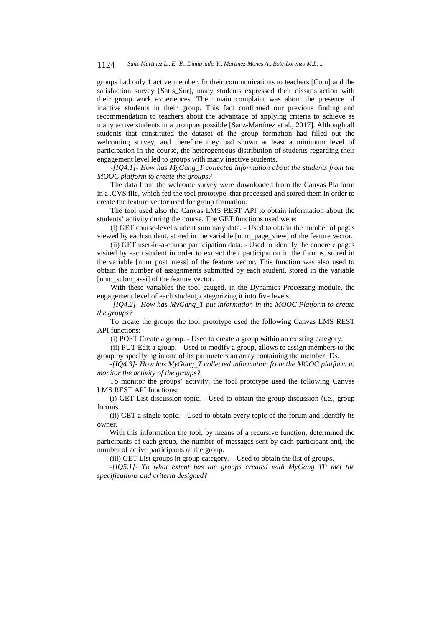groups had only 1 active member. In their communications to teachers [Com] and the satisfaction survey [Satis Sur], many students expressed their dissatisfaction with their group work experiences. Their main complaint was about the presence of inactive students in their group. This fact confirmed our previous finding and recommendation to teachers about the advantage of applying criteria to achieve as many active students in a group as possible [Sanz-Martínez et al., 2017]. Although all students that constituted the dataset of the group formation had filled out the welcoming survey, and therefore they had shown at least a minimum level of participation in the course, the heterogeneous distribution of students regarding their engagement level led to groups with many inactive students.

*-[IQ4.1]- How has MyGang\_T collected information about the students from the MOOC platform to create the groups?*

The data from the welcome survey were downloaded from the Canvas Platform in a .CVS file, which fed the tool prototype, that processed and stored them in order to create the feature vector used for group formation.

The tool used also the Canvas LMS REST API to obtain information about the students' activity during the course. The GET functions used were: (i) GET course-level student summary data. - Used to obtain the number of pages

viewed by each student, stored in the variable [num\_page\_view] of the feature vector.

(ii) GET user-in-a-course participation data. - Used to identify the concrete pages visited by each student in order to extract their participation in the forums, stored in the variable [num\_post\_mess] of the feature vector. This function was also used to obtain the number of assignments submitted by each student, stored in the variable [num\_subm\_assi] of the feature vector.

With these variables the tool gauged, in the Dynamics Processing module, the engagement level of each student, categorizing it into five levels.

*-[IQ4.2]- How has MyGang\_T put information in the MOOC Platform to create the groups?*

To create the groups the tool prototype used the following Canvas LMS REST API functions:

(i) POST Create a group. - Used to create a group within an existing category.

(ii) PUT Edit a group. - Used to modify a group, allows to assign members to the group by specifying in one of its parameters an array containing the member IDs.

*-[IQ4.3]- How has MyGang\_T collected information from the MOOC platform to monitor the activity of the groups?*

To monitor the groups' activity, the tool prototype used the following Canvas LMS REST API functions:

(i) GET List discussion topic. - Used to obtain the group discussion (i.e., group forums.

(ii) GET a single topic. - Used to obtain every topic of the forum and identify its owner.

With this information the tool, by means of a recursive function, determined the participants of each group, the number of messages sent by each participant and, the number of active participants of the group.

(iii) GET List groups in group category. – Used to obtain the list of groups.

*-[IQ5.1]- To what extent has the groups created with MyGang\_TP met the specifications and criteria designed?*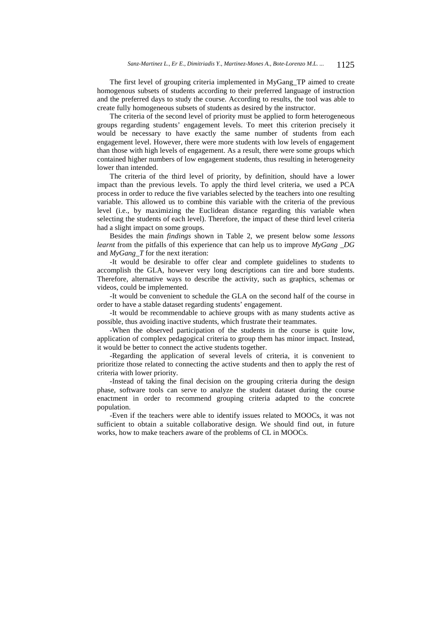The first level of grouping criteria implemented in MyGang\_TP aimed to create homogenous subsets of students according to their preferred language of instruction and the preferred days to study the course. According to results, the tool was able to create fully homogeneous subsets of students as desired by the instructor.

The criteria of the second level of priority must be applied to form heterogeneous groups regarding students' engagement levels. To meet this criterion precisely it would be necessary to have exactly the same number of students from each engagement level. However, there were more students with low levels of engagement than those with high levels of engagement. As a result, there were some groups which contained higher numbers of low engagement students, thus resulting in heterogeneity lower than intended.

The criteria of the third level of priority, by definition, should have a lower impact than the previous levels. To apply the third level criteria, we used a PCA process in order to reduce the five variables selected by the teachers into one resulting variable. This allowed us to combine this variable with the criteria of the previous level (i.e., by maximizing the Euclidean distance regarding this variable when selecting the students of each level). Therefore, the impact of these third level criteria had a slight impact on some groups.

Besides the main *findings* shown in Table 2, we present below some *lessons learnt* from the pitfalls of this experience that can help us to improve *MyGang DG* and *MyGang\_T* for the next iteration:

-It would be desirable to offer clear and complete guidelines to students to accomplish the GLA, however very long descriptions can tire and bore students. Therefore, alternative ways to describe the activity, such as graphics, schemas or videos, could be implemented.

-It would be convenient to schedule the GLA on the second half of the course in order to have a stable dataset regarding students' engagement.

-It would be recommendable to achieve groups with as many students active as possible, thus avoiding inactive students, which frustrate their teammates.

-When the observed participation of the students in the course is quite low, application of complex pedagogical criteria to group them has minor impact. Instead, it would be better to connect the active students together.

-Regarding the application of several levels of criteria, it is convenient to prioritize those related to connecting the active students and then to apply the rest of criteria with lower priority.

-Instead of taking the final decision on the grouping criteria during the design phase, software tools can serve to analyze the student dataset during the course enactment in order to recommend grouping criteria adapted to the concrete population.

-Even if the teachers were able to identify issues related to MOOCs, it was not sufficient to obtain a suitable collaborative design. We should find out, in future works, how to make teachers aware of the problems of CL in MOOCs.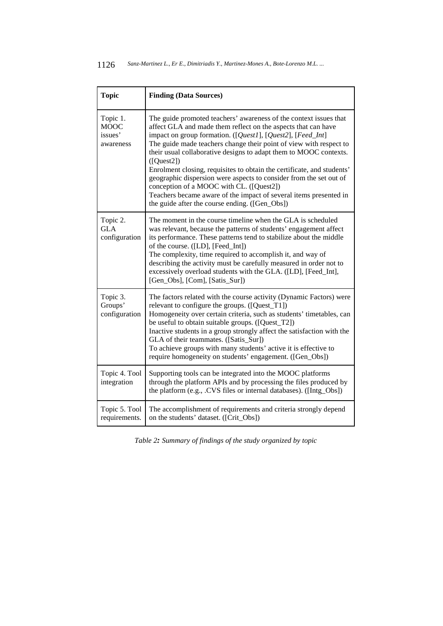| <b>Topic</b>                                    | <b>Finding (Data Sources)</b>                                                                                                                                                                                                                                                                                                                                                                                                                                                                                                                                                                                                                                                |
|-------------------------------------------------|------------------------------------------------------------------------------------------------------------------------------------------------------------------------------------------------------------------------------------------------------------------------------------------------------------------------------------------------------------------------------------------------------------------------------------------------------------------------------------------------------------------------------------------------------------------------------------------------------------------------------------------------------------------------------|
| Topic 1.<br><b>MOOC</b><br>issues'<br>awareness | The guide promoted teachers' awareness of the context issues that<br>affect GLA and made them reflect on the aspects that can have<br>impact on group formation. ([Quest1], [Quest2], [Feed_Int]<br>The guide made teachers change their point of view with respect to<br>their usual collaborative designs to adapt them to MOOC contexts.<br>([Quest2])<br>Enrolment closing, requisites to obtain the certificate, and students'<br>geographic dispersion were aspects to consider from the set out of<br>conception of a MOOC with CL. ([Quest2])<br>Teachers became aware of the impact of several items presented in<br>the guide after the course ending. ([Gen_Obs]) |
| Topic 2.<br><b>GLA</b><br>configuration         | The moment in the course timeline when the GLA is scheduled<br>was relevant, because the patterns of students' engagement affect<br>its performance. These patterns tend to stabilize about the middle<br>of the course. ([LD], [Feed_Int])<br>The complexity, time required to accomplish it, and way of<br>describing the activity must be carefully measured in order not to<br>excessively overload students with the GLA. ([LD], [Feed_Int],<br>[Gen_Obs], [Com], [Satis_Sur])                                                                                                                                                                                          |
| Topic 3.<br>Groups'<br>configuration            | The factors related with the course activity (Dynamic Factors) were<br>relevant to configure the groups. ([Quest_T1])<br>Homogeneity over certain criteria, such as students' timetables, can<br>be useful to obtain suitable groups. ([Quest_T2])<br>Inactive students in a group strongly affect the satisfaction with the<br>GLA of their teammates. ([Satis_Sur])<br>To achieve groups with many students' active it is effective to<br>require homogeneity on students' engagement. ([Gen_Obs])                                                                                                                                                                         |
| Topic 4. Tool<br>integration                    | Supporting tools can be integrated into the MOOC platforms<br>through the platform APIs and by processing the files produced by<br>the platform (e.g., .CVS files or internal databases). ([Intg_Obs])                                                                                                                                                                                                                                                                                                                                                                                                                                                                       |
| Topic 5. Tool<br>requirements.                  | The accomplishment of requirements and criteria strongly depend<br>on the students' dataset. ([Crit_Obs])                                                                                                                                                                                                                                                                                                                                                                                                                                                                                                                                                                    |

*Table 2: Summary of findings of the study organized by topic*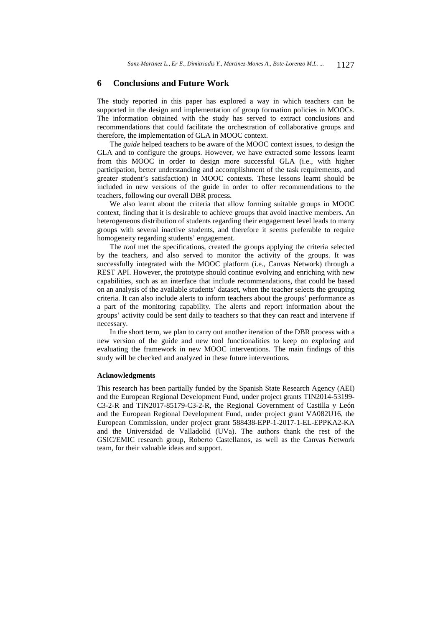### **6 Conclusions and Future Work**

The study reported in this paper has explored a way in which teachers can be supported in the design and implementation of group formation policies in MOOCs. The information obtained with the study has served to extract conclusions and recommendations that could facilitate the orchestration of collaborative groups and therefore, the implementation of GLA in MOOC context.

The *guide* helped teachers to be aware of the MOOC context issues, to design the GLA and to configure the groups. However, we have extracted some lessons learnt from this MOOC in order to design more successful GLA (i.e., with higher participation, better understanding and accomplishment of the task requirements, and greater student's satisfaction) in MOOC contexts. These lessons learnt should be included in new versions of the guide in order to offer recommendations to the teachers, following our overall DBR process.

We also learnt about the criteria that allow forming suitable groups in MOOC context, finding that it is desirable to achieve groups that avoid inactive members. An heterogeneous distribution of students regarding their engagement level leads to many groups with several inactive students, and therefore it seems preferable to require homogeneity regarding students' engagement.

The *tool* met the specifications, created the groups applying the criteria selected by the teachers, and also served to monitor the activity of the groups. It was successfully integrated with the MOOC platform (i.e., Canvas Network) through a REST API. However, the prototype should continue evolving and enriching with new capabilities, such as an interface that include recommendations, that could be based on an analysis of the available students' dataset, when the teacher selects the grouping criteria. It can also include alerts to inform teachers about the groups' performance as a part of the monitoring capability. The alerts and report information about the groups' activity could be sent daily to teachers so that they can react and intervene if necessary.

In the short term, we plan to carry out another iteration of the DBR process with a new version of the guide and new tool functionalities to keep on exploring and evaluating the framework in new MOOC interventions. The main findings of this study will be checked and analyzed in these future interventions.

#### **Acknowledgments**

This research has been partially funded by the Spanish State Research Agency (AEI) and the European Regional Development Fund, under project grants TIN2014-53199- C3-2-R and TIN2017-85179-C3-2-R, the Regional Government of Castilla y León and the European Regional Development Fund, under project grant VA082U16, the European Commission, under project grant 588438-EPP-1-2017-1-EL-EPPKA2-KA and the Universidad de Valladolid (UVa). The authors thank the rest of the GSIC/EMIC research group, Roberto Castellanos, as well as the Canvas Network team, for their valuable ideas and support.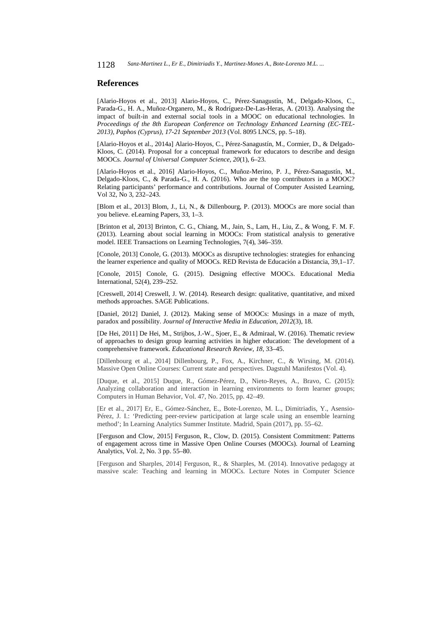### **References**

[Alario-Hoyos et al., 2013] Alario-Hoyos, C., Pérez-Sanagustín, M., Delgado-Kloos, C., Parada-G., H. A., Muñoz-Organero, M., & Rodríguez-De-Las-Heras, A. (2013). Analysing the impact of built-in and external social tools in a MOOC on educational technologies. In *Proceedings of the 8th European Conference on Technology Enhanced Learning (EC-TEL-2013), Paphos (Cyprus), 17-21 September 2013* (Vol. 8095 LNCS, pp. 5–18).

[Alario-Hoyos et al., 2014a] Alario-Hoyos, C., Pérez-Sanagustín, M., Cormier, D., & Delgado-Kloos, C. (2014). Proposal for a conceptual framework for educators to describe and design MOOCs. *Journal of Universal Computer Science*, *20*(1), 6–23.

[Alario-Hoyos et al., 2016] Alario-Hoyos, C., Muñoz-Merino, P. J., Pérez-Sanagustín, M., Delgado-Kloos, C., & Parada-G., H. A. (2016). Who are the top contributors in a MOOC? Relating participants' performance and contributions. Journal of Computer Assisted Learning, Vol 32, No 3, 232–243.

[Blom et al., 2013] Blom, J., Li, N., & Dillenbourg, P. (2013). MOOCs are more social than you believe. eLearning Papers, 33, 1–3.

[Brinton et al, 2013] Brinton, C. G., Chiang, M., Jain, S., Lam, H., Liu, Z., & Wong, F. M. F. (2013). Learning about social learning in MOOCs: From statistical analysis to generative model. IEEE Transactions on Learning Technologies, 7(4), 346–359.

[Conole, 2013] Conole, G. (2013). MOOCs as disruptive technologies: strategies for enhancing the learner experience and quality of MOOCs. RED Revista de Educación a Distancia, 39,1–17.

[Conole, 2015] Conole, G. (2015). Designing effective MOOCs. Educational Media International, 52(4), 239–252.

[Creswell, 2014] Creswell, J. W. (2014). Research design: qualitative, quantitative, and mixed methods approaches. SAGE Publications.

[Daniel, 2012] Daniel, J. (2012). Making sense of MOOCs: Musings in a maze of myth, paradox and possibility. *Journal of Interactive Media in Education*, *2012*(3), 18.

[De Hei, 2011] De Hei, M., Strijbos, J.-W., Sjoer, E., & Admiraal, W. (2016). Thematic review of approaches to design group learning activities in higher education: The development of a comprehensive framework. *Educational Research Review*, *18*, 33–45.

[Dillenbourg et al., 2014] Dillenbourg, P., Fox, A., Kirchner, C., & Wirsing, M. (2014). Massive Open Online Courses: Current state and perspectives. Dagstuhl Manifestos (Vol. 4).

[Duque, et al., 2015] Duque, R., Gómez-Pérez, D., Nieto-Reyes, A., Bravo, C. (2015): Analyzing collaboration and interaction in learning environments to form learner groups; Computers in Human Behavior, Vol. 47, No. 2015, pp. 42–49.

[Er et al., 2017] Er, E., Gómez-Sánchez, E., Bote-Lorenzo, M. L., Dimitriadis, Y., Asensio-Pérez, J. I.: 'Predicting peer-review participation at large scale using an ensemble learning method'; In Learning Analytics Summer Institute. Madrid, Spain (2017), pp. 55–62.

[Ferguson and Clow, 2015] Ferguson, R., Clow, D. (2015). Consistent Commitment: Patterns of engagement across time in Massive Open Online Courses (MOOCs). Journal of Learning Analytics, Vol. 2, No. 3 pp. 55–80.

[Ferguson and Sharples, 2014] Ferguson, R., & Sharples, M. (2014). Innovative pedagogy at massive scale: Teaching and learning in MOOCs. Lecture Notes in Computer Science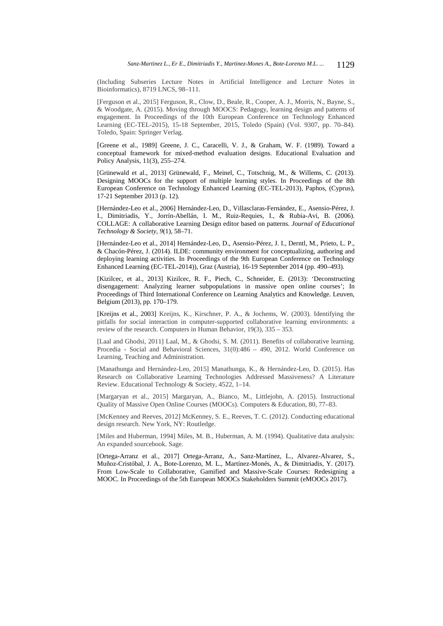(Including Subseries Lecture Notes in Artificial Intelligence and Lecture Notes in Bioinformatics), 8719 LNCS, 98–111.

[Ferguson et al., 2015] Ferguson, R., Clow, D., Beale, R., Cooper, A. J., Morris, N., Bayne, S., & Woodgate, A. (2015). Moving through MOOCS: Pedagogy, learning design and patterns of engagement. In Proceedings of the 10th European Conference on Technology Enhanced Learning (EC-TEL-2015), 15-18 September, 2015, Toledo (Spain) (Vol. 9307, pp. 70–84). Toledo, Spain: Springer Verlag.

[Greene et al., 1989] Greene, J. C., Caracelli, V. J., & Graham, W. F. (1989). Toward a conceptual framework for mixed-method evaluation designs. Educational Evaluation and Policy Analysis, 11(3), 255–274.

[Grünewald et al., 2013] Grünewald, F., Meinel, C., Totschnig, M., & Willems, C. (2013). Designing MOOCs for the support of multiple learning styles. In Proceedings of the 8th European Conference on Technology Enhanced Learning (EC-TEL-2013), Paphos, (Cyprus), 17-21 September 2013 (p. 12).

[Hernández-Leo et al., 2006] Hernández-Leo, D., Villasclaras-Fernández, E., Asensio-Pérez, J. I., Dimitriadis, Y., Jorrín-Abellán, I. M., Ruiz-Requies, I., & Rubia-Avi, B. (2006). COLLAGE: A collaborative Learning Design editor based on patterns. *Journal of Educational Technology & Society*, *9*(1), 58–71.

[Hernández-Leo et al., 2014] Hernández-Leo, D., Asensio-Pérez, J. I., Derntl, M., Prieto, L. P., & Chacón-Pérez, J. (2014). ILDE: community environment for conceptualizing, authoring and deploying learning activities. In Proceedings of the 9th European Conference on Technology Enhanced Learning (EC-TEL-2014)), Graz (Austria), 16-19 September 2014 (pp. 490–493).

[Kizilcec, et al., 2013] Kizilcec, R. F., Piech, C., Schneider, E. (2013): 'Deconstructing disengagement: Analyzing learner subpopulations in massive open online courses'; In Proceedings of Third International Conference on Learning Analytics and Knowledge. Leuven, Belgium (2013), pp. 170–179.

[Kreijns et al., 2003] Kreijns, K., Kirschner, P. A., & Jochems, W. (2003). Identifying the pitfalls for social interaction in computer-supported collaborative learning environments: a review of the research. Computers in Human Behavior, 19(3), 335 – 353.

[Laal and Ghodsi, 2011] Laal, M., & Ghodsi, S. M. (2011). Benefits of collaborative learning. Procedia - Social and Behavioral Sciences, 31(0):486 – 490, 2012. World Conference on Learning, Teaching and Administration.

[Manathunga and Hernández-Leo, 2015] Manathunga, K., & Hernández-Leo, D. (2015). Has Research on Collaborative Learning Technologies Addressed Massiveness? A Literature Review. Educational Technology & Society, 4522, 1–14.

[Margaryan et al., 2015] Margaryan, A., Bianco, M., Littlejohn, A. (2015). Instructional Quality of Massive Open Online Courses (MOOCs). Computers & Education, 80, 77–83.

[McKenney and Reeves, 2012] McKenney, S. E., Reeves, T. C. (2012). Conducting educational design research. New York, NY: Routledge.

[Miles and Huberman, 1994] Miles, M. B., Huberman, A. M. (1994). Qualitative data analysis: An expanded sourcebook. Sage.

[Ortega-Arranz et al., 2017] Ortega-Arranz, A., Sanz-Martínez, L., Alvarez-Alvarez, S., Muñoz-Cristóbal, J. A., Bote-Lorenzo, M. L., Martínez-Monés, A., & Dimitriadis, Y. (2017). From Low-Scale to Collaborative, Gamified and Massive-Scale Courses: Redesigning a MOOC. In Proceedings of the 5th European MOOCs Stakeholders Summit (eMOOCs 2017).